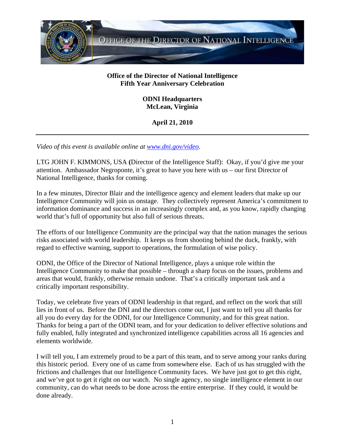

## **Office of the Director of National Intelligence Fifth Year Anniversary Celebration**

## **ODNI Headquarters McLean, Virginia**

## **April 21, 2010**

*Video of this event is available online at www.dni.gov/video.* 

LTG JOHN F. KIMMONS, USA **(**Director of the Intelligence Staff): Okay, if you'd give me your attention. Ambassador Negroponte, it's great to have you here with us – our first Director of National Intelligence, thanks for coming.

In a few minutes, Director Blair and the intelligence agency and element leaders that make up our Intelligence Community will join us onstage. They collectively represent America's commitment to information dominance and success in an increasingly complex and, as you know, rapidly changing world that's full of opportunity but also full of serious threats.

The efforts of our Intelligence Community are the principal way that the nation manages the serious risks associated with world leadership. It keeps us from shooting behind the duck, frankly, with regard to effective warning, support to operations, the formulation of wise policy.

ODNI, the Office of the Director of National Intelligence, plays a unique role within the Intelligence Community to make that possible – through a sharp focus on the issues, problems and areas that would, frankly, otherwise remain undone. That's a critically important task and a critically important responsibility.

Today, we celebrate five years of ODNI leadership in that regard, and reflect on the work that still lies in front of us. Before the DNI and the directors come out, I just want to tell you all thanks for all you do every day for the ODNI, for our Intelligence Community, and for this great nation. Thanks for being a part of the ODNI team, and for your dedication to deliver effective solutions and fully enabled, fully integrated and synchronized intelligence capabilities across all 16 agencies and elements worldwide.

I will tell you, I am extremely proud to be a part of this team, and to serve among your ranks during this historic period. Every one of us came from somewhere else. Each of us has struggled with the frictions and challenges that our Intelligence Community faces. We have just got to get this right, and we've got to get it right on our watch. No single agency, no single intelligence element in our community, can do what needs to be done across the entire enterprise. If they could, it would be done already.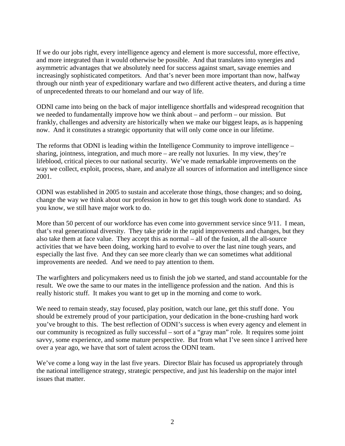If we do our jobs right, every intelligence agency and element is more successful, more effective, and more integrated than it would otherwise be possible. And that translates into synergies and asymmetric advantages that we absolutely need for success against smart, savage enemies and increasingly sophisticated competitors. And that's never been more important than now, halfway through our ninth year of expeditionary warfare and two different active theaters, and during a time of unprecedented threats to our homeland and our way of life.

ODNI came into being on the back of major intelligence shortfalls and widespread recognition that we needed to fundamentally improve how we think about – and perform – our mission. But frankly, challenges and adversity are historically when we make our biggest leaps, as is happening now. And it constitutes a strategic opportunity that will only come once in our lifetime.

The reforms that ODNI is leading within the Intelligence Community to improve intelligence – sharing, jointness, integration, and much more – are really not luxuries. In my view, they're lifeblood, critical pieces to our national security. We've made remarkable improvements on the way we collect, exploit, process, share, and analyze all sources of information and intelligence since 2001.

ODNI was established in 2005 to sustain and accelerate those things, those changes; and so doing, change the way we think about our profession in how to get this tough work done to standard. As you know, we still have major work to do.

More than 50 percent of our workforce has even come into government service since 9/11. I mean, that's real generational diversity. They take pride in the rapid improvements and changes, but they also take them at face value. They accept this as normal – all of the fusion, all the all-source activities that we have been doing, working hard to evolve to over the last nine tough years, and especially the last five. And they can see more clearly than we can sometimes what additional improvements are needed. And we need to pay attention to them.

The warfighters and policymakers need us to finish the job we started, and stand accountable for the result. We owe the same to our mates in the intelligence profession and the nation. And this is really historic stuff. It makes you want to get up in the morning and come to work.

We need to remain steady, stay focused, play position, watch our lane, get this stuff done. You should be extremely proud of your participation, your dedication in the bone-crushing hard work you've brought to this. The best reflection of ODNI's success is when every agency and element in our community is recognized as fully successful – sort of a "gray man" role. It requires some joint savvy, some experience, and some mature perspective. But from what I've seen since I arrived here over a year ago, we have that sort of talent across the ODNI team.

We've come a long way in the last five years. Director Blair has focused us appropriately through the national intelligence strategy, strategic perspective, and just his leadership on the major intel issues that matter.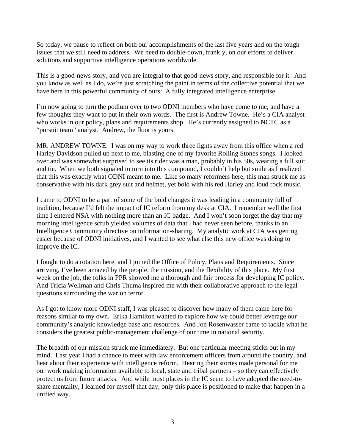So today, we pause to reflect on both our accomplishments of the last five years and on the tough issues that we still need to address. We need to double-down, frankly, on our efforts to deliver solutions and supportive intelligence operations worldwide.

This is a good-news story, and you are integral to that good-news story, and responsible for it. And you know as well as I do, we're just scratching the paint in terms of the collective potential that we have here in this powerful community of ours: A fully integrated intelligence enterprise.

I'm now going to turn the podium over to two ODNI members who have come to me, and have a few thoughts they want to put in their own words. The first is Andrew Towne. He's a CIA analyst who works in our policy, plans and requirements shop. He's currently assigned to NCTC as a "pursuit team" analyst. Andrew, the floor is yours.

MR. ANDREW TOWNE: I was on my way to work three lights away from this office when a red Harley Davidson pulled up next to me, blasting one of my favorite Rolling Stones songs. I looked over and was somewhat surprised to see its rider was a man, probably in his 50s, wearing a full suit and tie. When we both signaled to turn into this compound, I couldn't help but smile as I realized that this was exactly what ODNI meant to me. Like so many reformers here, this man struck me as conservative with his dark grey suit and helmet, yet bold with his red Harley and loud rock music.

I came to ODNI to be a part of some of the bold changes it was leading in a community full of tradition, because I'd felt the impact of IC reform from my desk at CIA. I remember well the first time I entered NSA with nothing more than an IC badge. And I won't soon forget the day that my morning intelligence scrub yielded volumes of data that I had never seen before, thanks to an Intelligence Community directive on information-sharing. My analytic work at CIA was getting easier because of ODNI initiatives, and I wanted to see what else this new office was doing to improve the IC.

I fought to do a rotation here, and I joined the Office of Policy, Plans and Requirements. Since arriving, I've been amazed by the people, the mission, and the flexibility of this place. My first week on the job, the folks in PPR showed me a thorough and fair process for developing IC policy. And Tricia Wellman and Chris Thuma inspired me with their collaborative approach to the legal questions surrounding the war on terror.

As I got to know more ODNI staff, I was pleased to discover how many of them came here for reasons similar to my own. Erika Hamilton wanted to explore how we could better leverage our community's analytic knowledge base and resources. And Jon Rosenwasser came to tackle what he considers the greatest public-management challenge of our time in national security.

The breadth of our mission struck me immediately. But one particular meeting sticks out in my mind. Last year I had a chance to meet with law enforcement officers from around the country, and hear about their experience with intelligence reform. Hearing their stories made personal for me our work making information available to local, state and tribal partners – so they can effectively protect us from future attacks. And while most places in the IC seem to have adopted the need-toshare mentality, I learned for myself that day, only this place is positioned to make that happen in a unified way.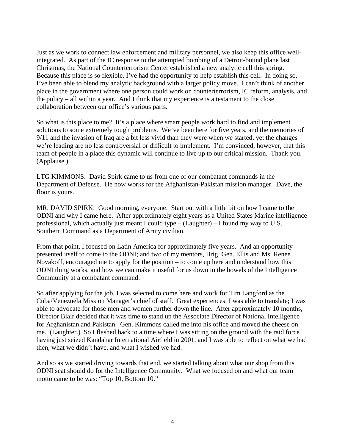Just as we work to connect law enforcement and military personnel, we also keep this office wellintegrated. As part of the IC response to the attempted bombing of a Detroit-bound plane last Christmas, the National Counterterrorism Center established a new analytic cell this spring. Because this place is so flexible, I've had the opportunity to help establish this cell. In doing so, I've been able to blend my analytic background with a larger policy move. I can't think of another place in the government where one person could work on counterterrorism, IC reform, analysis, and the policy – all within a year. And I think that my experience is a testament to the close collaboration between our office's various parts.

So what is this place to me? It's a place where smart people work hard to find and implement solutions to some extremely tough problems. We've been here for five years, and the memories of 9/11 and the invasion of Iraq are a bit less vivid than they were when we started, yet the changes we're leading are no less controversial or difficult to implement. I'm convinced, however, that this team of people in a place this dynamic will continue to live up to our critical mission. Thank you. (Applause.)

LTG KIMMONS: David Spirk came to us from one of our combatant commands in the Department of Defense. He now works for the Afghanistan-Pakistan mission manager. Dave, the floor is yours.

MR. DAVID SPIRK: Good morning, everyone. Start out with a little bit on how I came to the ODNI and why I came here. After approximately eight years as a United States Marine intelligence professional, which actually just meant I could type – (Laughter) – I found my way to U.S. Southern Command as a Department of Army civilian.

From that point, I focused on Latin America for approximately five years. And an opportunity presented itself to come to the ODNI; and two of my mentors, Brig. Gen. Ellis and Ms. Renee Novakoff, encouraged me to apply for the position – to come up here and understand how this ODNI thing works, and how we can make it useful for us down in the bowels of the Intelligence Community at a combatant command.

So after applying for the job, I was selected to come here and work for Tim Langford as the Cuba/Venezuela Mission Manager's chief of staff. Great experiences: I was able to translate; I was able to advocate for those men and women further down the line. After approximately 10 months, Director Blair decided that it was time to stand up the Associate Director of National Intelligence for Afghanistan and Pakistan. Gen. Kimmons called me into his office and moved the cheese on me. (Laughter.) So I flashed back to a time where I was sitting on the ground with the raid force having just seized Kandahar International Airfield in 2001, and I was able to reflect on what we had then, what we didn't have, and what I wished we had.

And so as we started driving towards that end, we started talking about what our shop from this ODNI seat should do for the Intelligence Community. What we focused on and what our team motto came to be was: "Top 10, Bottom 10."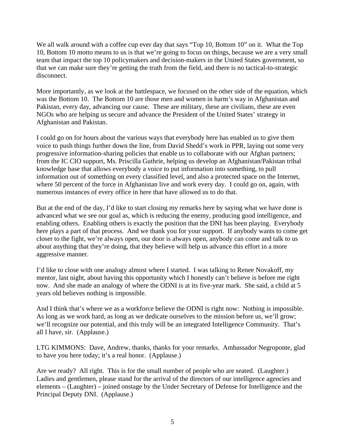We all walk around with a coffee cup ever day that says "Top 10, Bottom 10" on it. What the Top 10, Bottom 10 motto means to us is that we're going to focus on things, because we are a very small team that impact the top 10 policymakers and decision-makers in the United States government, so that we can make sure they're getting the truth from the field, and there is no tactical-to-strategic disconnect.

More importantly, as we look at the battlespace, we focused on the other side of the equation, which was the Bottom 10. The Bottom 10 are those men and women in harm's way in Afghanistan and Pakistan, every day, advancing our cause. These are military, these are civilians, these are even NGOs who are helping us secure and advance the President of the United States' strategy in Afghanistan and Pakistan.

I could go on for hours about the various ways that everybody here has enabled us to give them voice to push things further down the line, from David Shedd's work in PPR, laying out some very progressive information-sharing policies that enable us to collaborate with our Afghan partners; from the IC CIO support, Ms. Priscilla Guthrie, helping us develop an Afghanistan/Pakistan tribal knowledge base that allows everybody a voice to put information into something, to pull information out of something on every classified level, and also a protected space on the Internet, where 50 percent of the force in Afghanistan live and work every day. I could go on, again, with numerous instances of every office in here that have allowed us to do that.

But at the end of the day, I'd like to start closing my remarks here by saying what we have done is advanced what we see our goal as, which is reducing the enemy, producing good intelligence, and enabling others. Enabling others is exactly the position that the DNI has been playing. Everybody here plays a part of that process. And we thank you for your support. If anybody wants to come get closer to the fight, we're always open, our door is always open, anybody can come and talk to us about anything that they're doing, that they believe will help us advance this effort in a more aggressive manner.

I'd like to close with one analogy almost where I started. I was talking to Renee Novakoff, my mentor, last night, about having this opportunity which I honestly can't believe is before me right now. And she made an analogy of where the ODNI is at its five-year mark. She said, a child at 5 years old believes nothing is impossible.

And I think that's where we as a workforce believe the ODNI is right now: Nothing is impossible. As long as we work hard, as long as we dedicate ourselves to the mission before us, we'll grow; we'll recognize our potential, and this truly will be an integrated Intelligence Community. That's all I have, sir. (Applause.)

LTG KIMMONS: Dave, Andrew, thanks, thanks for your remarks. Ambassador Negroponte, glad to have you here today; it's a real honor. (Applause.)

Are we ready? All right. This is for the small number of people who are seated. (Laughter.) Ladies and gentlemen, please stand for the arrival of the directors of our intelligence agencies and elements – (Laughter) – joined onstage by the Under Secretary of Defense for Intelligence and the Principal Deputy DNI. (Applause.)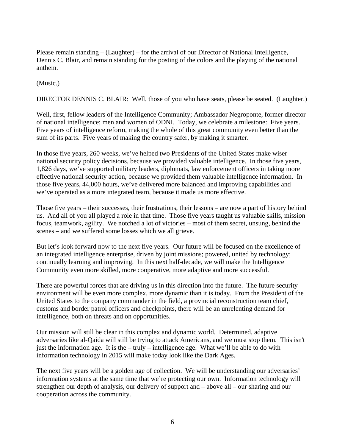Please remain standing – (Laughter) – for the arrival of our Director of National Intelligence, Dennis C. Blair, and remain standing for the posting of the colors and the playing of the national anthem.

(Music.)

DIRECTOR DENNIS C. BLAIR: Well, those of you who have seats, please be seated. (Laughter.)

Well, first, fellow leaders of the Intelligence Community; Ambassador Negroponte, former director of national intelligence; men and women of ODNI. Today, we celebrate a milestone: Five years. Five years of intelligence reform, making the whole of this great community even better than the sum of its parts. Five years of making the country safer, by making it smarter.

In those five years, 260 weeks, we've helped two Presidents of the United States make wiser national security policy decisions, because we provided valuable intelligence. In those five years, 1,826 days, we've supported military leaders, diplomats, law enforcement officers in taking more effective national security action, because we provided them valuable intelligence information. In those five years, 44,000 hours, we've delivered more balanced and improving capabilities and we've operated as a more integrated team, because it made us more effective.

Those five years – their successes, their frustrations, their lessons – are now a part of history behind us. And all of you all played a role in that time. Those five years taught us valuable skills, mission focus, teamwork, agility. We notched a lot of victories – most of them secret, unsung, behind the scenes – and we suffered some losses which we all grieve.

But let's look forward now to the next five years. Our future will be focused on the excellence of an integrated intelligence enterprise, driven by joint missions; powered, united by technology; continually learning and improving. In this next half-decade, we will make the Intelligence Community even more skilled, more cooperative, more adaptive and more successful.

There are powerful forces that are driving us in this direction into the future. The future security environment will be even more complex, more dynamic than it is today. From the President of the United States to the company commander in the field, a provincial reconstruction team chief, customs and border patrol officers and checkpoints, there will be an unrelenting demand for intelligence, both on threats and on opportunities.

Our mission will still be clear in this complex and dynamic world. Determined, adaptive adversaries like al-Qaida will still be trying to attack Americans, and we must stop them. This isn't just the information age. It is the – truly – intelligence age. What we'll be able to do with information technology in 2015 will make today look like the Dark Ages.

The next five years will be a golden age of collection. We will be understanding our adversaries' information systems at the same time that we're protecting our own. Information technology will strengthen our depth of analysis, our delivery of support and – above all – our sharing and our cooperation across the community.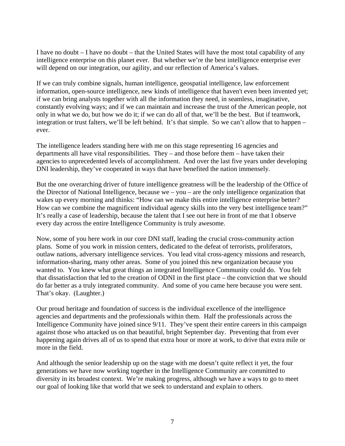I have no doubt – I have no doubt – that the United States will have the most total capability of any intelligence enterprise on this planet ever. But whether we're the best intelligence enterprise ever will depend on our integration, our agility, and our reflection of America's values.

If we can truly combine signals, human intelligence, geospatial intelligence, law enforcement information, open-source intelligence, new kinds of intelligence that haven't even been invented yet; if we can bring analysts together with all the information they need, in seamless, imaginative, constantly evolving ways; and if we can maintain and increase the trust of the American people, not only in what we do, but how we do it; if we can do all of that, we'll be the best. But if teamwork, integration or trust falters, we'll be left behind. It's that simple. So we can't allow that to happen – ever.

The intelligence leaders standing here with me on this stage representing 16 agencies and departments all have vital responsibilities. They – and those before them – have taken their agencies to unprecedented levels of accomplishment. And over the last five years under developing DNI leadership, they've cooperated in ways that have benefited the nation immensely.

But the one overarching driver of future intelligence greatness will be the leadership of the Office of the Director of National Intelligence, because we – you – are the only intelligence organization that wakes up every morning and thinks: "How can we make this entire intelligence enterprise better? How can we combine the magnificent individual agency skills into the very best intelligence team?" It's really a case of leadership, because the talent that I see out here in front of me that I observe every day across the entire Intelligence Community is truly awesome.

Now, some of you here work in our core DNI staff, leading the crucial cross-community action plans. Some of you work in mission centers, dedicated to the defeat of terrorists, proliferators, outlaw nations, adversary intelligence services. You lead vital cross-agency missions and research, information-sharing, many other areas. Some of you joined this new organization because you wanted to. You knew what great things an integrated Intelligence Community could do. You felt that dissatisfaction that led to the creation of ODNI in the first place – the conviction that we should do far better as a truly integrated community. And some of you came here because you were sent. That's okay. (Laughter.)

Our proud heritage and foundation of success is the individual excellence of the intelligence agencies and departments and the professionals within them. Half the professionals across the Intelligence Community have joined since 9/11. They've spent their entire careers in this campaign against those who attacked us on that beautiful, bright September day. Preventing that from ever happening again drives all of us to spend that extra hour or more at work, to drive that extra mile or more in the field.

And although the senior leadership up on the stage with me doesn't quite reflect it yet, the four generations we have now working together in the Intelligence Community are committed to diversity in its broadest context. We're making progress, although we have a ways to go to meet our goal of looking like that world that we seek to understand and explain to others.